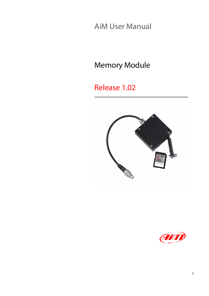AiM User Manual

Memory Module

### Release 1.02



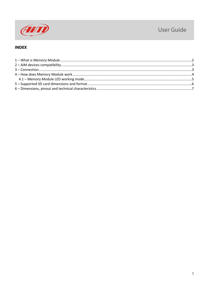

#### User Guide

#### **INDEX**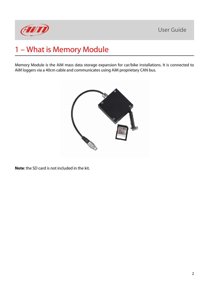

# <span id="page-2-0"></span>1 – What is Memory Module

Memory Module is the AiM mass data storage expansion for car/bike installations. It is connected to AiM loggers via a 40cm cable and communicates using AiM proprietary CAN bus.



**Note**: the SD card is not included in the kit.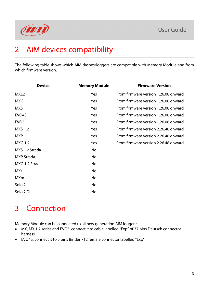

# <span id="page-3-0"></span>2 – AiM devices compatibility

The following table shows which AiM dashes/loggers are compatible with Memory Module and from which firmware version.

| <b>Device</b>      | <b>Memory Module</b> | <b>Firmware Version</b>              |
|--------------------|----------------------|--------------------------------------|
| MXL <sub>2</sub>   | Yes                  | From firmware version 1.26.08 onward |
| <b>MXG</b>         | Yes                  | From firmware version 1.26.08 onward |
| <b>MXS</b>         | Yes                  | From firmware version 1.26.08 onward |
| EVO <sub>4</sub> S | Yes                  | From firmware version 1.26.08 onward |
| EVO <sub>5</sub>   | Yes                  | From firmware version 1.26.08 onward |
| <b>MXS 1.2</b>     | Yes                  | From firmware version 2.26.48 onward |
| <b>MXP</b>         | Yes                  | From firmware version 2.26.48 onward |
| <b>MXG 1.2</b>     | Yes                  | From firmware version 2.26.48 onward |
| MXS 1.2 Strada     | No                   |                                      |
| <b>MXP</b> Strada  | No                   |                                      |
| MXG 1.2 Strada     | No                   |                                      |
| <b>MXsl</b>        | No                   |                                      |
| <b>MXm</b>         | No                   |                                      |
| Solo 2             | No                   |                                      |
| Solo 2 DL          | No                   |                                      |
|                    |                      |                                      |

# <span id="page-3-1"></span>3 – Connection

Memory Module can be connected to all new generation AiM loggers:

- MX, MX 1.2 series and EVO5: connect it to cable labelled "Exp" of 37 pins Deutsch connector harness
- EVO4S: connect it to 5 pins Binder 712 female connector labelled "Exp"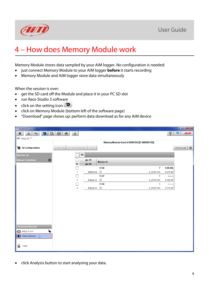



## <span id="page-4-0"></span>4 – How does Memory Module work

Memory Module stores data sampled by your AiM logger. No configuration is needed:

- just connect Memory Module to your AiM logger **before** it starts recording
- Memory Module and AiM logger store data simultaneously

When the session is over:

- get the SD card off the Module and place it in your PC SD slot
- run Race Studio 3 software
- click on the setting icon
- click on Memory Module (bottom left of the software page)
- "Download" page shows up: perform data download as for any AiM device

| RaceStudio3 3.15.08                                                                                                                                                                                                                                                                                                                                                      |                                      |                                       |                                             |                |                                |
|--------------------------------------------------------------------------------------------------------------------------------------------------------------------------------------------------------------------------------------------------------------------------------------------------------------------------------------------------------------------------|--------------------------------------|---------------------------------------|---------------------------------------------|----------------|--------------------------------|
| $\mathcal{L}$<br>Z<br>$\ast$<br>2th<br>$\leftrightarrow$                                                                                                                                                                                                                                                                                                                 | ≝<br>$\mathbb{F}$<br>$\hat{\bullet}$ |                                       |                                             | <b>(jt.</b>    | <b>AND</b><br>Ф                |
| All MXL2 05 <sup>34</sup>                                                                                                                                                                                                                                                                                                                                                |                                      |                                       |                                             |                |                                |
|                                                                                                                                                                                                                                                                                                                                                                          |                                      |                                       | MemoryModule-Card id 6000193 [D:\M6000193/] |                |                                |
| All Configurations                                                                                                                                                                                                                                                                                                                                                       | Unhide Downloaded<br>Download        | <b>Delete</b>                         |                                             |                | $\circledcirc$<br>Refresh List |
| Devices (4)                                                                                                                                                                                                                                                                                                                                                              |                                      | $\bm{\nabla}$                         |                                             |                |                                |
| O<br><b>Manual Collections</b>                                                                                                                                                                                                                                                                                                                                           | $\mathbf \nabla$                     | giu 18<br><b>Baileys AL</b><br>giu 24 |                                             |                |                                |
|                                                                                                                                                                                                                                                                                                                                                                          | i.                                   | 11:40                                 | $\overline{7}$                              | 0:45.004       |                                |
|                                                                                                                                                                                                                                                                                                                                                                          | $\mathbf{1}$                         | Baileys AL (?)                        | A_0035.XRK                                  | 9.678 kB       |                                |
|                                                                                                                                                                                                                                                                                                                                                                          |                                      | 11:37                                 | $\mathbf 1$                                 | $\sim$ $\sim$  |                                |
|                                                                                                                                                                                                                                                                                                                                                                          | $\overline{2}$                       | Baileys AL (?)                        | A_0034.XRK                                  | 8.369 kB       |                                |
|                                                                                                                                                                                                                                                                                                                                                                          |                                      | 11:34                                 | $\mathbf{1}$                                | <b>Service</b> |                                |
|                                                                                                                                                                                                                                                                                                                                                                          | 3                                    | Baileys AL (?)                        | A_0033.XRK                                  | 4.716 kB       |                                |
|                                                                                                                                                                                                                                                                                                                                                                          |                                      |                                       |                                             |                |                                |
|                                                                                                                                                                                                                                                                                                                                                                          |                                      |                                       |                                             |                |                                |
|                                                                                                                                                                                                                                                                                                                                                                          |                                      |                                       |                                             |                |                                |
|                                                                                                                                                                                                                                                                                                                                                                          |                                      |                                       |                                             |                |                                |
|                                                                                                                                                                                                                                                                                                                                                                          |                                      |                                       |                                             |                |                                |
|                                                                                                                                                                                                                                                                                                                                                                          |                                      |                                       |                                             |                |                                |
|                                                                                                                                                                                                                                                                                                                                                                          |                                      |                                       |                                             |                |                                |
|                                                                                                                                                                                                                                                                                                                                                                          |                                      |                                       |                                             |                |                                |
| <b>Connected Devices</b>                                                                                                                                                                                                                                                                                                                                                 |                                      |                                       |                                             |                |                                |
| $\begin{picture}(20,20) \put(0,0){\line(1,0){150}} \put(15,0){\line(1,0){150}} \put(15,0){\line(1,0){150}} \put(15,0){\line(1,0){150}} \put(15,0){\line(1,0){150}} \put(15,0){\line(1,0){150}} \put(15,0){\line(1,0){150}} \put(15,0){\line(1,0){150}} \put(15,0){\line(1,0){150}} \put(15,0){\line(1,0){150}} \put(15,0){\line(1,0){150}} \$<br><b>MXL2 ID 411</b><br>▭ |                                      |                                       |                                             |                |                                |
| MemoryModule                                                                                                                                                                                                                                                                                                                                                             |                                      |                                       |                                             |                |                                |
| Û<br>Trash                                                                                                                                                                                                                                                                                                                                                               |                                      |                                       |                                             |                |                                |

• click Analysis button to start analysing your data.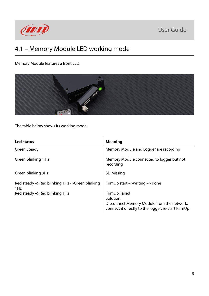

### <span id="page-5-0"></span>4.1 – Memory Module LED working mode

Memory Module features a front LED.



The table below shows its working mode:

| <b>Led status</b>                                     | <b>Meaning</b>                                                                                                                 |
|-------------------------------------------------------|--------------------------------------------------------------------------------------------------------------------------------|
| <b>Green Steady</b>                                   | Memory Module and Logger are recording                                                                                         |
| Green blinking 1 Hz                                   | Memory Module connected to logger but not<br>recording                                                                         |
| Green blinking 3Hz                                    | <b>SD Missing</b>                                                                                                              |
| Red steady ->Red blinking 1Hz ->Green blinking<br>1Hz | FirmUp start $\rightarrow$ writing $\rightarrow$ done                                                                          |
| Red steady ->Red blinking 1Hz                         | FirmUp Failed<br>Solution:<br>Disconnect Memory Module from the network,<br>connect it directly to the logger, re-start FirmUp |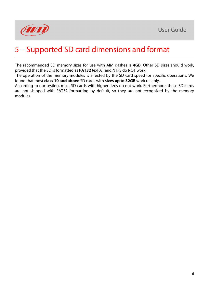

## <span id="page-6-0"></span>5 – Supported SD card dimensions and format

The recommended SD memory sizes for use with AIM dashes is **4GB**. Other SD sizes should work, provided that the SD is formatted as **FAT32** (exFAT and NTFS do NOT work).

The operation of the memory modules is affected by the SD card speed for specific operations. We found that most **class 10 and above** SD cards with **sizes up to 32GB** work reliably.

According to our testing, most SD cards with higher sizes do not work. Furthermore, these SD cards are not shipped with FAT32 formatting by default, so they are not recognized by the memory modules.